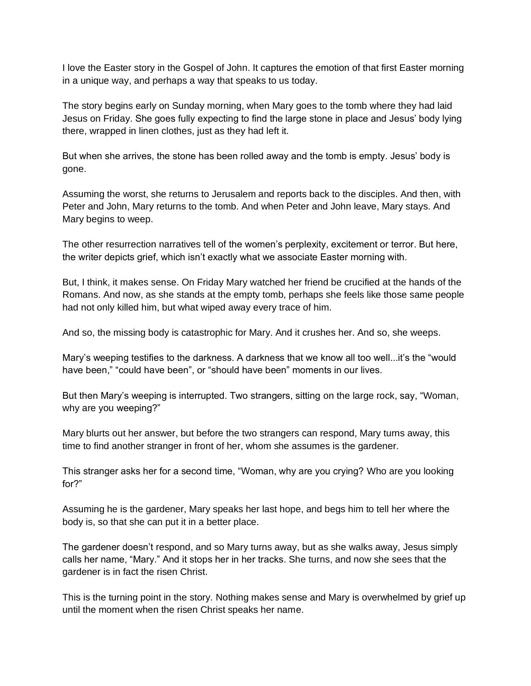I love the Easter story in the Gospel of John. It captures the emotion of that first Easter morning in a unique way, and perhaps a way that speaks to us today.

The story begins early on Sunday morning, when Mary goes to the tomb where they had laid Jesus on Friday. She goes fully expecting to find the large stone in place and Jesus' body lying there, wrapped in linen clothes, just as they had left it.

But when she arrives, the stone has been rolled away and the tomb is empty. Jesus' body is gone.

Assuming the worst, she returns to Jerusalem and reports back to the disciples. And then, with Peter and John, Mary returns to the tomb. And when Peter and John leave, Mary stays. And Mary begins to weep.

The other resurrection narratives tell of the women's perplexity, excitement or terror. But here, the writer depicts grief, which isn't exactly what we associate Easter morning with.

But, I think, it makes sense. On Friday Mary watched her friend be crucified at the hands of the Romans. And now, as she stands at the empty tomb, perhaps she feels like those same people had not only killed him, but what wiped away every trace of him.

And so, the missing body is catastrophic for Mary. And it crushes her. And so, she weeps.

Mary's weeping testifies to the darkness. A darkness that we know all too well...it's the "would have been," "could have been", or "should have been" moments in our lives.

But then Mary's weeping is interrupted. Two strangers, sitting on the large rock, say, "Woman, why are you weeping?"

Mary blurts out her answer, but before the two strangers can respond, Mary turns away, this time to find another stranger in front of her, whom she assumes is the gardener.

This stranger asks her for a second time, "Woman, why are you crying? Who are you looking for?"

Assuming he is the gardener, Mary speaks her last hope, and begs him to tell her where the body is, so that she can put it in a better place.

The gardener doesn't respond, and so Mary turns away, but as she walks away, Jesus simply calls her name, "Mary." And it stops her in her tracks. She turns, and now she sees that the gardener is in fact the risen Christ.

This is the turning point in the story. Nothing makes sense and Mary is overwhelmed by grief up until the moment when the risen Christ speaks her name.